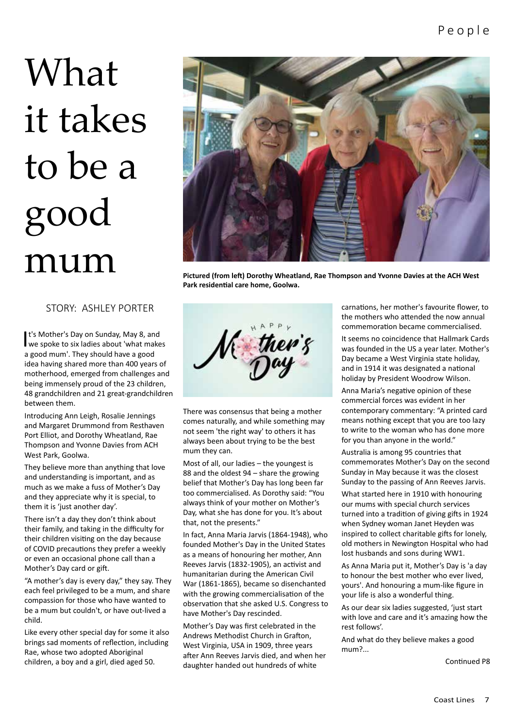# What it takes to be a good

# STORY: ASHLEY PORTER

**t's Mother's Day on Sunday, May 8, and we spoke to six ladies about 'what make** we spoke to six ladies about 'what makes a good mum'. They should have a good idea having shared more than 400 years of motherhood, emerged from challenges and being immensely proud of the 23 children, 48 grandchildren and 21 great-grandchildren between them.

Introducing Ann Leigh, Rosalie Jennings and Margaret Drummond from Resthaven Port Elliot, and Dorothy Wheatland, Rae Thompson and Yvonne Davies from ACH West Park, Goolwa.

They believe more than anything that love and understanding is important, and as much as we make a fuss of Mother's Day and they appreciate why it is special, to them it is 'just another day'.

There isn't a day they don't think about their family, and taking in the difficulty for their children visiting on the day because of COVID precautions they prefer a weekly or even an occasional phone call than a Mother's Day card or gift.

"A mother's day is every day," they say. They each feel privileged to be a mum, and share compassion for those who have wanted to be a mum but couldn't, or have out-lived a child.

Like every other special day for some it also brings sad moments of reflection, including Rae, whose two adopted Aboriginal children, a boy and a girl, died aged 50.



**Park residential care home, Goolwa.**



There was consensus that being a mother comes naturally, and while something may not seem 'the right way' to others it has always been about trying to be the best mum they can.

Most of all, our ladies – the youngest is 88 and the oldest 94 – share the growing belief that Mother's Day has long been far too commercialised. As Dorothy said: "You always think of your mother on Mother's Day, what she has done for you. It's about that, not the presents."

In fact, Anna Maria Jarvis (1864-1948), who founded Mother's Day in the United States as a means of honouring her mother, Ann Reeves Jarvis (1832-1905), an activist and humanitarian during the American Civil War (1861-1865), became so disenchanted with the growing commercialisation of the observation that she asked U.S. Congress to have Mother's Day rescinded.

Mother's Day was first celebrated in the Andrews Methodist Church in Grafton, West Virginia, USA in 1909, three years after Ann Reeves Jarvis died, and when her daughter handed out hundreds of white

carnations, her mother's favourite flower, to the mothers who attended the now annual commemoration became commercialised.

It seems no coincidence that Hallmark Cards was founded in the US a year later. Mother's Day became a West Virginia state holiday, and in 1914 it was designated a national holiday by President Woodrow Wilson.

Anna Maria's negative opinion of these commercial forces was evident in her contemporary commentary: "A printed card means nothing except that you are too lazy to write to the woman who has done more for you than anyone in the world."

Australia is among 95 countries that commemorates Mother's Day on the second Sunday in May because it was the closest Sunday to the passing of Ann Reeves Jarvis.

What started here in 1910 with honouring our mums with special church services turned into a tradition of giving gifts in 1924 when Sydney woman Janet Heyden was inspired to collect charitable gifts for lonely, old mothers in Newington Hospital who had lost husbands and sons during WW1.

As Anna Maria put it, Mother's Day is 'a day to honour the best mother who ever lived, yours'. And honouring a mum-like figure in your life is also a wonderful thing.

As our dear six ladies suggested, 'just start with love and care and it's amazing how the rest follows'.

And what do they believe makes a good mum?...

Continued P8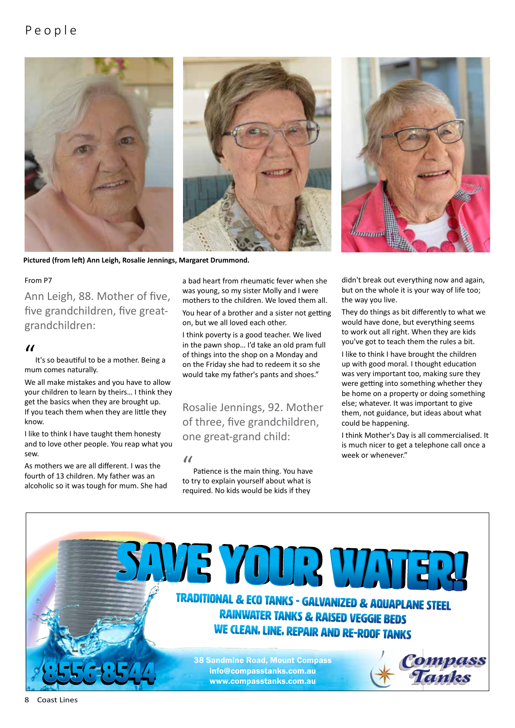# P e o p l e





**Pictured (from left) Ann Leigh, Rosalie Jennings, Margaret Drummond.**

#### From P7

Ann Leigh, 88. Mother of five, five grandchildren, five greatgrandchildren:

#### $\overline{u}$

It's so beautiful to be a mother. Being a mum comes naturally.

We all make mistakes and you have to allow your children to learn by theirs… I think they get the basics when they are brought up. If you teach them when they are little they know.

I like to think I have taught them honesty and to love other people. You reap what you sew.

As mothers we are all different. I was the fourth of 13 children. My father was an alcoholic so it was tough for mum. She had a bad heart from rheumatic fever when she was young, so my sister Molly and I were mothers to the children. We loved them all.

You hear of a brother and a sister not getting on, but we all loved each other.

I think poverty is a good teacher. We lived in the pawn shop… I'd take an old pram full of things into the shop on a Monday and on the Friday she had to redeem it so she would take my father's pants and shoes."

Rosalie Jennings, 92. Mother of three, five grandchildren, one great-grand child:

 $\alpha$ 

Patience is the main thing. You have to try to explain yourself about what is required. No kids would be kids if they



didn't break out everything now and again, but on the whole it is your way of life too; the way you live.

They do things as bit differently to what we would have done, but everything seems to work out all right. When they are kids you've got to teach them the rules a bit.

I like to think I have brought the children up with good moral. I thought education was very important too, making sure they were getting into something whether they be home on a property or doing something else; whatever. It was important to give them, not guidance, but ideas about what could be happening.

I think Mother's Day is all commercialised. It is much nicer to get a telephone call once a week or whenever."